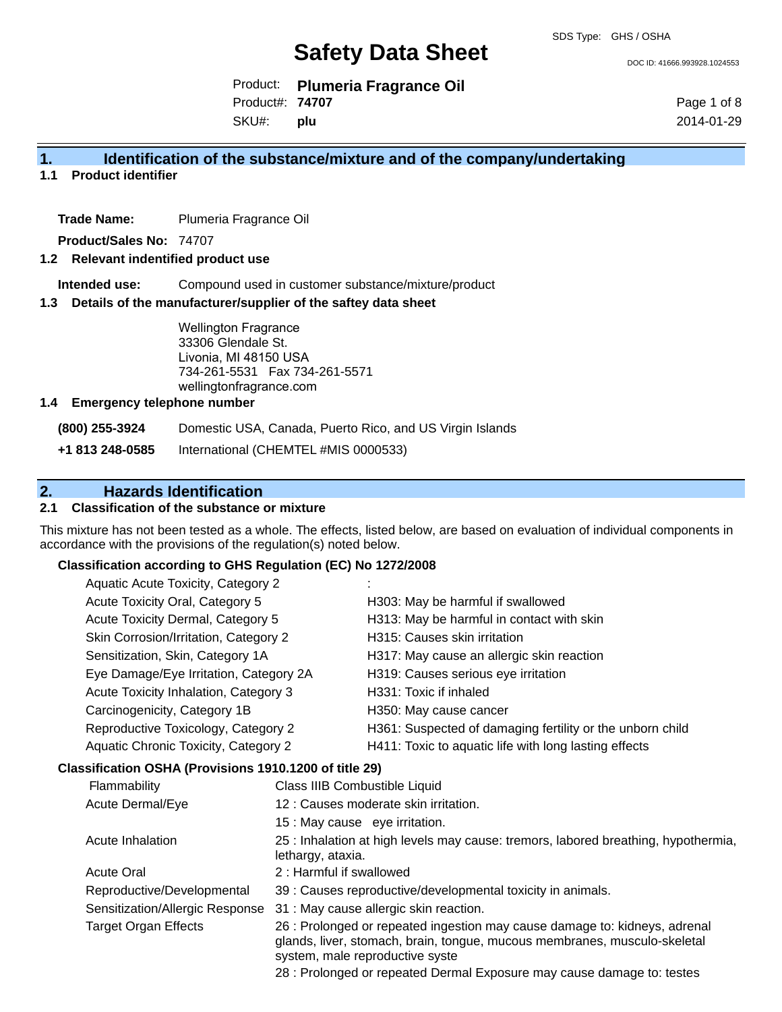DOC ID: 41666.993928.1024553

Product: **Plumeria Fragrance Oil** Product#: **74707**

SKU#: **plu** Page 1 of 8 2014-01-29

#### **1. Identification of the substance/mixture and of the company/undertaking**

**1.1 Product identifier**

**Trade Name:** Plumeria Fragrance Oil

**Product/Sales No:** 74707

#### **1.2 Relevant indentified product use**

**Intended use:** Compound used in customer substance/mixture/product

#### **1.3 Details of the manufacturer/supplier of the saftey data sheet**

Wellington Fragrance 33306 Glendale St. Livonia, MI 48150 USA 734-261-5531 Fax 734-261-5571 wellingtonfragrance.com

#### **1.4 Emergency telephone number**

**(800) 255-3924** Domestic USA, Canada, Puerto Rico, and US Virgin Islands

**+1 813 248-0585** International (CHEMTEL #MIS 0000533)

#### **2. Hazards Identification**

#### **2.1 Classification of the substance or mixture**

This mixture has not been tested as a whole. The effects, listed below, are based on evaluation of individual components in accordance with the provisions of the regulation(s) noted below.

#### **Classification according to GHS Regulation (EC) No 1272/2008**

| Aquatic Acute Toxicity, Category 2     |                                                           |
|----------------------------------------|-----------------------------------------------------------|
| Acute Toxicity Oral, Category 5        | H303: May be harmful if swallowed                         |
| Acute Toxicity Dermal, Category 5      | H313: May be harmful in contact with skin                 |
| Skin Corrosion/Irritation, Category 2  | H315: Causes skin irritation                              |
| Sensitization, Skin, Category 1A       | H317: May cause an allergic skin reaction                 |
| Eye Damage/Eye Irritation, Category 2A | H319: Causes serious eye irritation                       |
| Acute Toxicity Inhalation, Category 3  | H331: Toxic if inhaled                                    |
| Carcinogenicity, Category 1B           | H350: May cause cancer                                    |
| Reproductive Toxicology, Category 2    | H361: Suspected of damaging fertility or the unborn child |
| Aquatic Chronic Toxicity, Category 2   | H411: Toxic to aquatic life with long lasting effects     |
|                                        |                                                           |

#### **Classification OSHA (Provisions 1910.1200 of title 29)**

| Flammability                    | Class IIIB Combustible Liquid                                                                                                                                                              |
|---------------------------------|--------------------------------------------------------------------------------------------------------------------------------------------------------------------------------------------|
| Acute Dermal/Eye                | 12 : Causes moderate skin irritation.                                                                                                                                                      |
|                                 | 15 : May cause eye irritation.                                                                                                                                                             |
| Acute Inhalation                | 25 : Inhalation at high levels may cause: tremors, labored breathing, hypothermia,<br>lethargy, ataxia.                                                                                    |
| <b>Acute Oral</b>               | 2: Harmful if swallowed                                                                                                                                                                    |
| Reproductive/Developmental      | 39 : Causes reproductive/developmental toxicity in animals.                                                                                                                                |
| Sensitization/Allergic Response | 31 : May cause allergic skin reaction.                                                                                                                                                     |
| <b>Target Organ Effects</b>     | 26 : Prolonged or repeated ingestion may cause damage to: kidneys, adrenal<br>glands, liver, stomach, brain, tongue, mucous membranes, musculo-skeletal<br>system, male reproductive syste |

28 : Prolonged or repeated Dermal Exposure may cause damage to: testes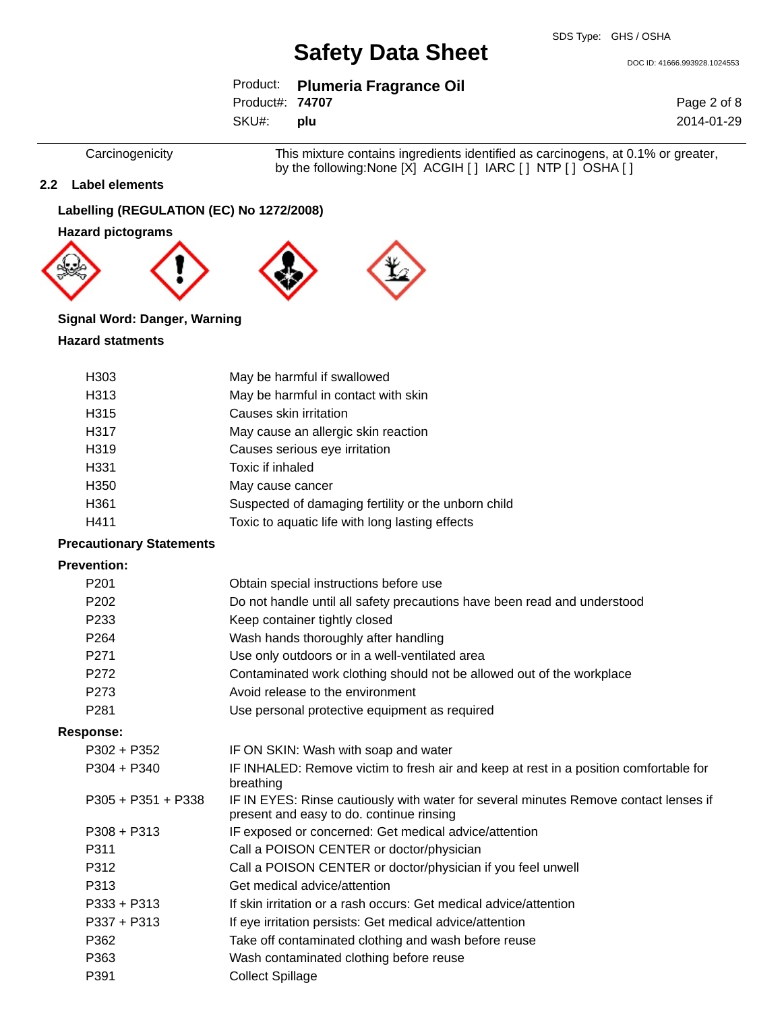DOC ID: 41666.993928.1024553

|                        | Product: Plumeria Fragrance Oil |
|------------------------|---------------------------------|
| Product#: <b>74707</b> |                                 |
| SKU#: plu              |                                 |

Page 2 of 8 2014-01-29

Carcinogenicity This mixture contains ingredients identified as carcinogens, at 0.1% or greater, by the following:None [X] ACGIH [ ] IARC [ ] NTP [ ] OSHA [ ]

#### **2.2 Label elements**

#### **Labelling (REGULATION (EC) No 1272/2008)**

**Hazard pictograms**







### **Signal Word: Danger, Warning**

#### **Hazard statments**

| H <sub>303</sub> | May be harmful if swallowed                         |
|------------------|-----------------------------------------------------|
| H313             | May be harmful in contact with skin                 |
| H315             | Causes skin irritation                              |
| H317             | May cause an allergic skin reaction                 |
| H319             | Causes serious eye irritation                       |
| H331             | Toxic if inhaled                                    |
| H <sub>350</sub> | May cause cancer                                    |
| H361             | Suspected of damaging fertility or the unborn child |
| H411             | Toxic to aquatic life with long lasting effects     |

#### **Precautionary Statements**

#### **Prevention:**

| P <sub>201</sub>     | Obtain special instructions before use                                                                                           |
|----------------------|----------------------------------------------------------------------------------------------------------------------------------|
| P <sub>202</sub>     | Do not handle until all safety precautions have been read and understood                                                         |
| P233                 | Keep container tightly closed                                                                                                    |
| P <sub>264</sub>     | Wash hands thoroughly after handling                                                                                             |
| P <sub>271</sub>     | Use only outdoors or in a well-ventilated area                                                                                   |
| P <sub>272</sub>     | Contaminated work clothing should not be allowed out of the workplace                                                            |
| P <sub>273</sub>     | Avoid release to the environment                                                                                                 |
| P281                 | Use personal protective equipment as required                                                                                    |
| <b>Response:</b>     |                                                                                                                                  |
| $P302 + P352$        | IF ON SKIN: Wash with soap and water                                                                                             |
| $P304 + P340$        | IF INHALED: Remove victim to fresh air and keep at rest in a position comfortable for<br>breathing                               |
| $P305 + P351 + P338$ | IF IN EYES: Rinse cautiously with water for several minutes Remove contact lenses if<br>present and easy to do. continue rinsing |
| $P308 + P313$        | IF exposed or concerned: Get medical advice/attention                                                                            |
| P311                 | Call a POISON CENTER or doctor/physician                                                                                         |
| P312                 | Call a POISON CENTER or doctor/physician if you feel unwell                                                                      |
| P313                 | Get medical advice/attention                                                                                                     |
| $P333 + P313$        | If skin irritation or a rash occurs: Get medical advice/attention                                                                |
| $P337 + P313$        | If eye irritation persists: Get medical advice/attention                                                                         |
| P362                 | Take off contaminated clothing and wash before reuse                                                                             |
| P363                 | Wash contaminated clothing before reuse                                                                                          |
| P391                 | <b>Collect Spillage</b>                                                                                                          |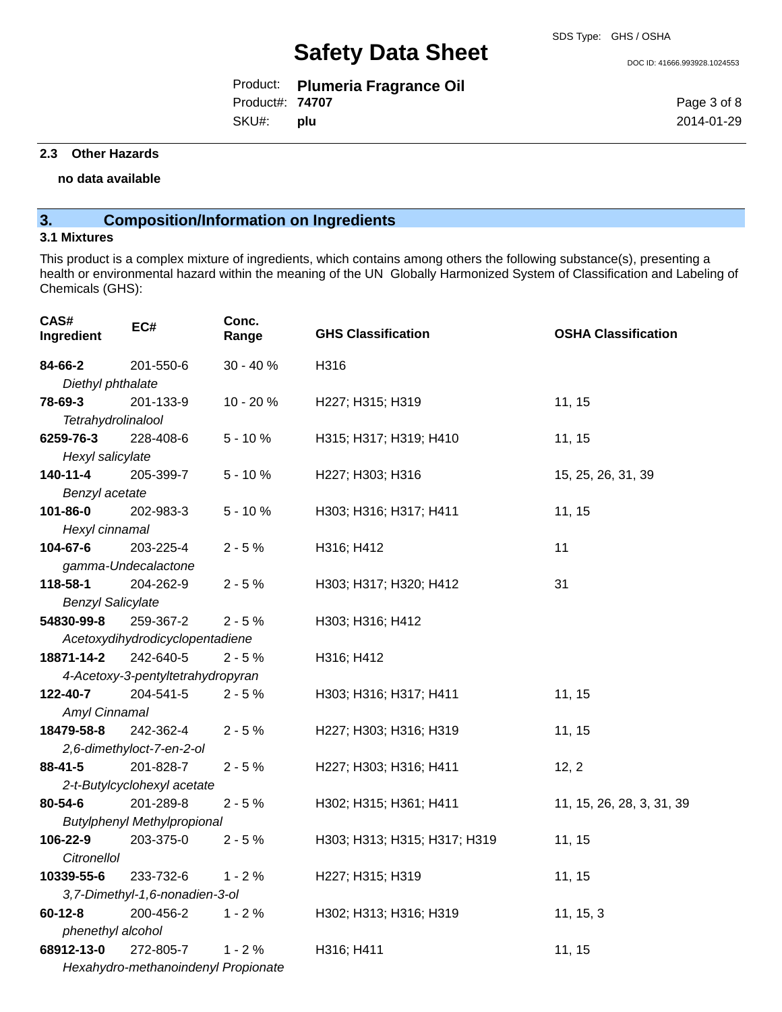DOC ID: 41666.993928.1024553

|                        | Product: Plumeria Fragrance Oil |
|------------------------|---------------------------------|
| Product#: <b>74707</b> |                                 |
| SKU#: <b>plu</b>       |                                 |

Page 3 of 8 2014-01-29

#### **2.3 Other Hazards**

**no data available**

## **3. Composition/Information on Ingredients**

#### **3.1 Mixtures**

This product is a complex mixture of ingredients, which contains among others the following substance(s), presenting a health or environmental hazard within the meaning of the UN Globally Harmonized System of Classification and Labeling of Chemicals (GHS):

| CAS#<br>Ingredient             | EC#                                 | Conc.<br>Range | <b>GHS Classification</b>    | <b>OSHA Classification</b> |
|--------------------------------|-------------------------------------|----------------|------------------------------|----------------------------|
| 84-66-2                        | 201-550-6                           | 30 - 40 %      | H316                         |                            |
| Diethyl phthalate              |                                     |                |                              |                            |
| 78-69-3                        | 201-133-9                           | 10 - 20 %      | H227; H315; H319             | 11, 15                     |
| Tetrahydrolinalool             |                                     |                |                              |                            |
| 6259-76-3                      | 228-408-6                           | $5 - 10%$      | H315; H317; H319; H410       | 11, 15                     |
| Hexyl salicylate               |                                     |                |                              |                            |
| $140 - 11 - 4$                 | 205-399-7                           | $5 - 10%$      | H227; H303; H316             | 15, 25, 26, 31, 39         |
| Benzyl acetate                 |                                     |                |                              |                            |
| 101-86-0                       | 202-983-3                           | $5 - 10%$      | H303; H316; H317; H411       | 11, 15                     |
| Hexyl cinnamal                 |                                     |                |                              |                            |
| 104-67-6                       | 203-225-4                           | $2 - 5%$       | H316; H412                   | 11                         |
|                                | gamma-Undecalactone                 |                |                              |                            |
| 118-58-1                       | 204-262-9                           | $2 - 5%$       | H303; H317; H320; H412       | 31                         |
| <b>Benzyl Salicylate</b>       |                                     |                |                              |                            |
| 54830-99-8                     | 259-367-2                           | $2 - 5%$       | H303; H316; H412             |                            |
|                                | Acetoxydihydrodicyclopentadiene     |                |                              |                            |
| 18871-14-2                     | 242-640-5                           | $2 - 5%$       | H316; H412                   |                            |
|                                | 4-Acetoxy-3-pentyltetrahydropyran   |                |                              |                            |
| 122-40-7                       | 204-541-5                           | $2 - 5%$       | H303; H316; H317; H411       | 11, 15                     |
| Amyl Cinnamal                  |                                     |                |                              |                            |
| 18479-58-8                     | 242-362-4                           | $2 - 5%$       | H227; H303; H316; H319       | 11, 15                     |
|                                | 2,6-dimethyloct-7-en-2-ol           |                |                              |                            |
| $88 - 41 - 5$                  | 201-828-7                           | $2 - 5%$       | H227; H303; H316; H411       | 12, 2                      |
|                                | 2-t-Butylcyclohexyl acetate         |                |                              |                            |
| 80-54-6                        | 201-289-8                           | $2 - 5%$       | H302; H315; H361; H411       | 11, 15, 26, 28, 3, 31, 39  |
|                                | <b>Butylphenyl Methylpropional</b>  |                |                              |                            |
| 106-22-9                       | 203-375-0                           | $2 - 5%$       | H303; H313; H315; H317; H319 | 11, 15                     |
| <b>Citronellol</b>             |                                     |                |                              |                            |
| 10339-55-6                     | 233-732-6                           | $1 - 2%$       | H227; H315; H319             | 11, 15                     |
| 3,7-Dimethyl-1,6-nonadien-3-ol |                                     |                |                              |                            |
| $60 - 12 - 8$                  | 200-456-2                           | $1 - 2%$       | H302; H313; H316; H319       | 11, 15, 3                  |
| phenethyl alcohol              |                                     |                |                              |                            |
| 68912-13-0                     | 272-805-7                           | $1 - 2%$       | H316; H411                   | 11, 15                     |
|                                | Hexahydro-methanoindenyl Propionate |                |                              |                            |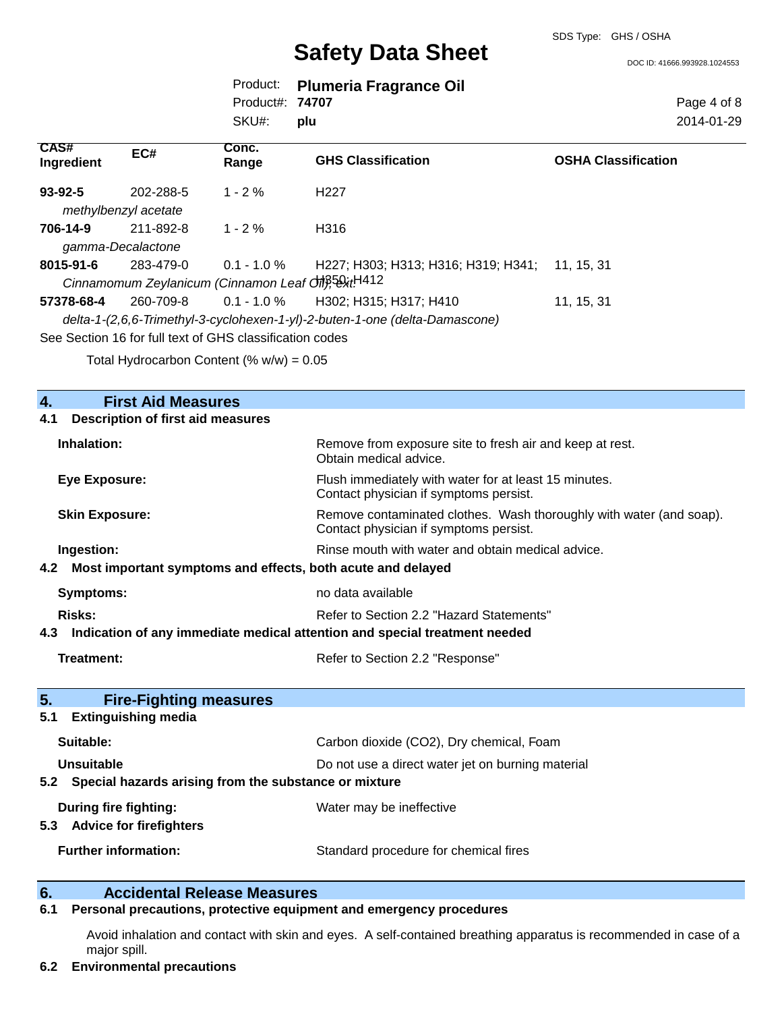DOC ID: 41666.993928.1024553

|                        | Product: Plumeria Fragrance Oil |
|------------------------|---------------------------------|
| Product#: <b>74707</b> |                                 |
| SKU#: plu              |                                 |

Page 4 of 8 2014-01-29

| CAS#<br>Ingredient                                                          | EC#                  | Conc.<br>Range                                        | <b>GHS Classification</b>           | <b>OSHA Classification</b> |  |
|-----------------------------------------------------------------------------|----------------------|-------------------------------------------------------|-------------------------------------|----------------------------|--|
| $93 - 92 - 5$                                                               | 202-288-5            | $1 - 2\%$                                             | H <sub>22</sub> 7                   |                            |  |
|                                                                             | methylbenzyl acetate |                                                       |                                     |                            |  |
| 706-14-9                                                                    | 211-892-8            | $1 - 2\%$                                             | H316                                |                            |  |
|                                                                             | gamma-Decalactone    |                                                       |                                     |                            |  |
| 8015-91-6                                                                   | 283-479-0            | $0.1 - 1.0 \%$                                        | H227; H303; H313; H316; H319; H341; | 11. 15. 31                 |  |
|                                                                             |                      | Cinnamomum Zeylanicum (Cinnamon Leaf Off), 58xt. H412 |                                     |                            |  |
| 57378-68-4                                                                  | 260-709-8            | $0.1 - 1.0 \%$                                        | H302; H315; H317; H410              | 11, 15, 31                 |  |
| delta-1-(2,6,6-Trimethyl-3-cyclohexen-1-yl)-2-buten-1-one (delta-Damascone) |                      |                                                       |                                     |                            |  |
| See Section 16 for full text of GHS classification codes                    |                      |                                                       |                                     |                            |  |

Total Hydrocarbon Content (%  $w/w$ ) = 0.05

| 4.                                                        | <b>First Aid Measures</b>                                                  |                                                                                                               |  |
|-----------------------------------------------------------|----------------------------------------------------------------------------|---------------------------------------------------------------------------------------------------------------|--|
| 4.1                                                       | <b>Description of first aid measures</b>                                   |                                                                                                               |  |
| Inhalation:                                               |                                                                            | Remove from exposure site to fresh air and keep at rest.<br>Obtain medical advice.                            |  |
|                                                           | <b>Eye Exposure:</b>                                                       | Flush immediately with water for at least 15 minutes.<br>Contact physician if symptoms persist.               |  |
|                                                           | <b>Skin Exposure:</b>                                                      | Remove contaminated clothes. Wash thoroughly with water (and soap).<br>Contact physician if symptoms persist. |  |
|                                                           | Ingestion:                                                                 | Rinse mouth with water and obtain medical advice.                                                             |  |
| 4.2                                                       | Most important symptoms and effects, both acute and delayed                |                                                                                                               |  |
|                                                           | Symptoms:                                                                  | no data available                                                                                             |  |
|                                                           | <b>Risks:</b><br>Refer to Section 2.2 "Hazard Statements"                  |                                                                                                               |  |
| 4.3                                                       | Indication of any immediate medical attention and special treatment needed |                                                                                                               |  |
|                                                           | <b>Treatment:</b>                                                          | Refer to Section 2.2 "Response"                                                                               |  |
| 5.                                                        | <b>Fire-Fighting measures</b>                                              |                                                                                                               |  |
| 5.1                                                       | <b>Extinguishing media</b>                                                 |                                                                                                               |  |
|                                                           | Suitable:                                                                  | Carbon dioxide (CO2), Dry chemical, Foam                                                                      |  |
|                                                           | Unsuitable<br>Do not use a direct water jet on burning material            |                                                                                                               |  |
| 5.2 Special hazards arising from the substance or mixture |                                                                            |                                                                                                               |  |
| 5.3                                                       | During fire fighting:<br><b>Advice for firefighters</b>                    | Water may be ineffective                                                                                      |  |
|                                                           | <b>Further information:</b>                                                | Standard procedure for chemical fires                                                                         |  |

#### **6. Accidental Release Measures**

### **6.1 Personal precautions, protective equipment and emergency procedures**

Avoid inhalation and contact with skin and eyes. A self-contained breathing apparatus is recommended in case of a major spill.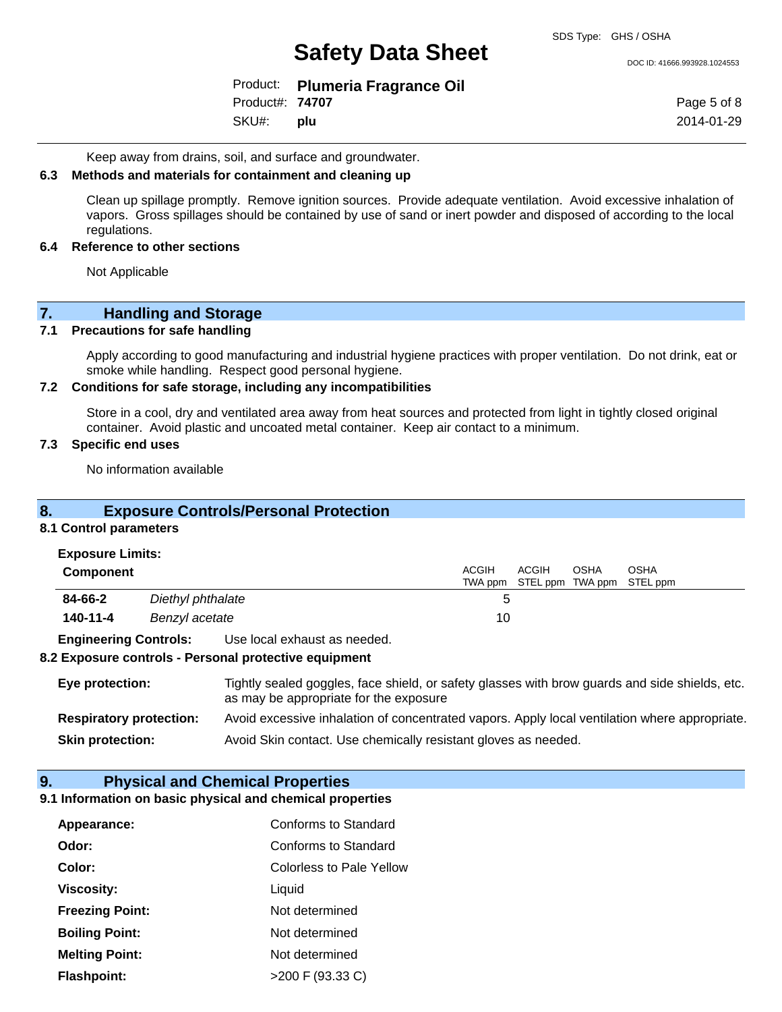DOC ID: 41666.993928.1024553

|                        | Product: Plumeria Fragrance Oil |
|------------------------|---------------------------------|
| Product#: <b>74707</b> |                                 |
| SKU#: plu              |                                 |

Page 5 of 8 2014-01-29

Keep away from drains, soil, and surface and groundwater.

#### **6.3 Methods and materials for containment and cleaning up**

Clean up spillage promptly. Remove ignition sources. Provide adequate ventilation. Avoid excessive inhalation of vapors. Gross spillages should be contained by use of sand or inert powder and disposed of according to the local regulations.

#### **6.4 Reference to other sections**

Not Applicable

# **7.** Handling and Storage<br>**7.1** Precautions for safe handling

#### **7.1 Precautions for safe handling**

Apply according to good manufacturing and industrial hygiene practices with proper ventilation. Do not drink, eat or smoke while handling. Respect good personal hygiene.

#### **7.2 Conditions for safe storage, including any incompatibilities**

Store in a cool, dry and ventilated area away from heat sources and protected from light in tightly closed original container. Avoid plastic and uncoated metal container. Keep air contact to a minimum.

#### **7.3 Specific end uses**

No information available

#### **8. Exposure Controls/Personal Protection**

#### **8.1 Control parameters**

#### **Exposure Limits:**

| <b>Component</b> |                   | <b>ACGIH</b> | <b>ACGIH</b> | OSHA | OSHA<br>TWA ppm STEL ppm TWA ppm STEL ppm |
|------------------|-------------------|--------------|--------------|------|-------------------------------------------|
| 84-66-2          | Diethyl phthalate |              |              |      |                                           |
| 140-11-4         | Benzyl acetate    | 10           |              |      |                                           |
|                  |                   |              |              |      |                                           |

**Engineering Controls:** Use local exhaust as needed.

#### **8.2 Exposure controls - Personal protective equipment**

| Eye protection:                | Tightly sealed goggles, face shield, or safety glasses with brow guards and side shields, etc.<br>as may be appropriate for the exposure |
|--------------------------------|------------------------------------------------------------------------------------------------------------------------------------------|
| <b>Respiratory protection:</b> | Avoid excessive inhalation of concentrated vapors. Apply local ventilation where appropriate.                                            |
| <b>Skin protection:</b>        | Avoid Skin contact. Use chemically resistant gloves as needed.                                                                           |

#### **9. Physical and Chemical Properties**

#### **9.1 Information on basic physical and chemical properties**

| Appearance:            | Conforms to Standard            |
|------------------------|---------------------------------|
| Odor:                  | Conforms to Standard            |
| Color:                 | <b>Colorless to Pale Yellow</b> |
| Viscosity:             | Liquid                          |
| <b>Freezing Point:</b> | Not determined                  |
| <b>Boiling Point:</b>  | Not determined                  |
| <b>Melting Point:</b>  | Not determined                  |
| <b>Flashpoint:</b>     | >200 F (93.33 C)                |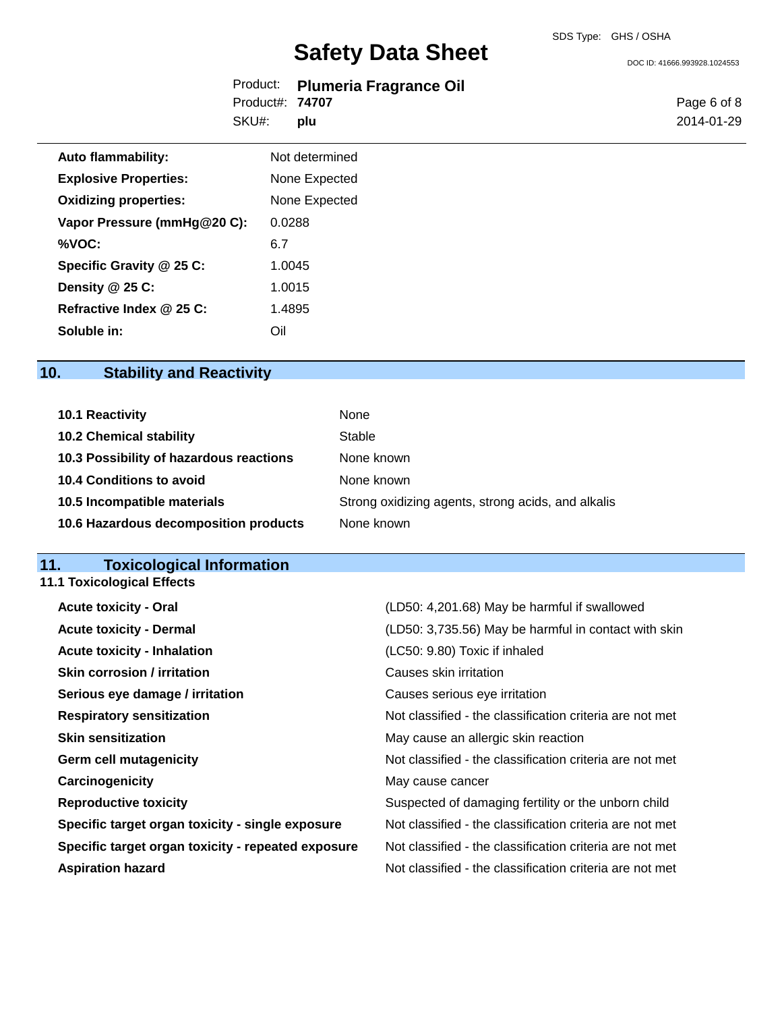DOC ID: 41666.993928.1024553

|                        | Product: Plumeria Fragrance Oil |
|------------------------|---------------------------------|
| Product#: <b>74707</b> |                                 |
| SKU#: plu              |                                 |

Page 6 of 8 2014-01-29

| <b>Auto flammability:</b>    | Not determined |
|------------------------------|----------------|
| <b>Explosive Properties:</b> | None Expected  |
| <b>Oxidizing properties:</b> | None Expected  |
| Vapor Pressure (mmHg@20 C):  | 0.0288         |
| %VOC:                        | 6.7            |
| Specific Gravity @ 25 C:     | 1.0045         |
| Density @ 25 C:              | 1.0015         |
| Refractive Index @ 25 C:     | 1.4895         |
| Soluble in:                  | ∩il            |

## **10. Stability and Reactivity**

| 10.1 Reactivity                         | <b>None</b>                                        |
|-----------------------------------------|----------------------------------------------------|
| <b>10.2 Chemical stability</b>          | Stable                                             |
| 10.3 Possibility of hazardous reactions | None known                                         |
| <b>10.4 Conditions to avoid</b>         | None known                                         |
| 10.5 Incompatible materials             | Strong oxidizing agents, strong acids, and alkalis |
| 10.6 Hazardous decomposition products   | None known                                         |

#### **11. Toxicological Information**

**11.1 Toxicological Effects**

| <b>Acute toxicity - Oral</b>                       | (LD50: 4,201.68) May be harmful if swallowed             |
|----------------------------------------------------|----------------------------------------------------------|
| <b>Acute toxicity - Dermal</b>                     | (LD50: 3,735.56) May be harmful in contact with skin     |
| <b>Acute toxicity - Inhalation</b>                 | (LC50: 9.80) Toxic if inhaled                            |
| <b>Skin corrosion / irritation</b>                 | Causes skin irritation                                   |
| Serious eye damage / irritation                    | Causes serious eye irritation                            |
| <b>Respiratory sensitization</b>                   | Not classified - the classification criteria are not met |
| <b>Skin sensitization</b>                          | May cause an allergic skin reaction                      |
| <b>Germ cell mutagenicity</b>                      | Not classified - the classification criteria are not met |
| Carcinogenicity                                    | May cause cancer                                         |
| <b>Reproductive toxicity</b>                       | Suspected of damaging fertility or the unborn child      |
| Specific target organ toxicity - single exposure   | Not classified - the classification criteria are not met |
| Specific target organ toxicity - repeated exposure | Not classified - the classification criteria are not met |
| <b>Aspiration hazard</b>                           | Not classified - the classification criteria are not met |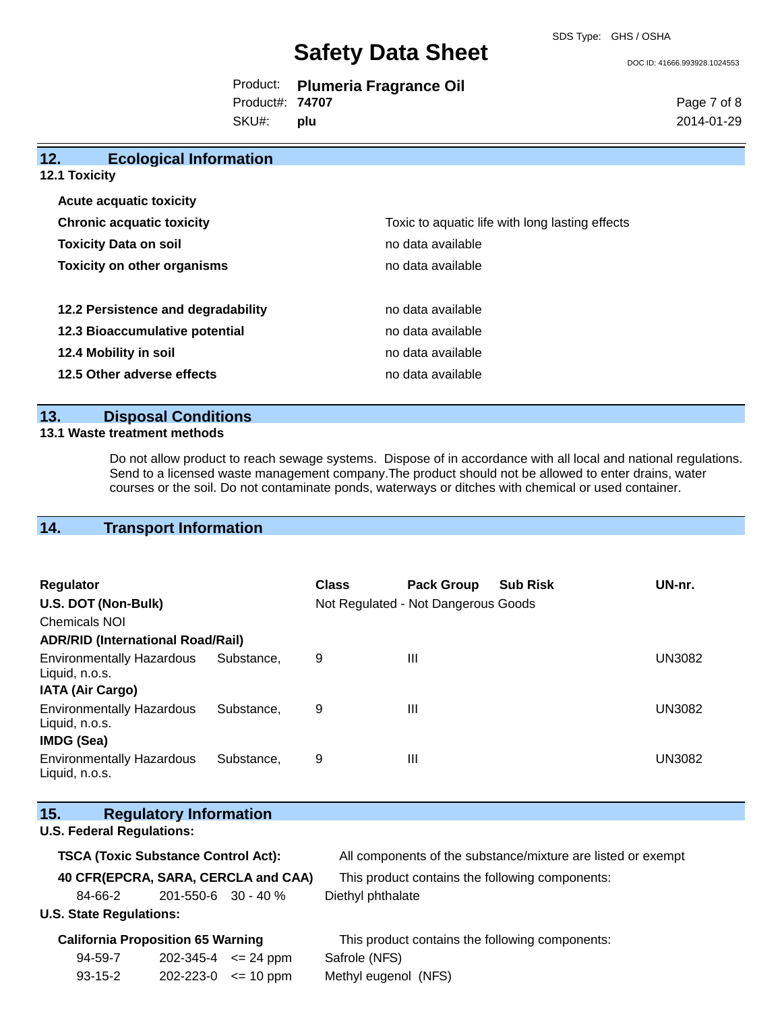DOC ID: 41666.993928.1024553

|                        | Product: Plumeria Fragrance Oil |
|------------------------|---------------------------------|
| Product#: <b>74707</b> |                                 |
|                        |                                 |

SKU#: **plu** Page 7 of 8 2014-01-29

| 12.                                | <b>Ecological Information</b>      |                                                 |  |
|------------------------------------|------------------------------------|-------------------------------------------------|--|
| <b>12.1 Toxicity</b>               |                                    |                                                 |  |
| <b>Acute acquatic toxicity</b>     |                                    |                                                 |  |
| <b>Chronic acquatic toxicity</b>   |                                    | Toxic to aquatic life with long lasting effects |  |
| <b>Toxicity Data on soil</b>       |                                    | no data available                               |  |
| <b>Toxicity on other organisms</b> |                                    | no data available                               |  |
|                                    | 12.2 Persistence and degradability | no data available                               |  |
| 12.3 Bioaccumulative potential     |                                    | no data available                               |  |
| 12.4 Mobility in soil              |                                    | no data available                               |  |
| 12.5 Other adverse effects         |                                    | no data available                               |  |

#### **13. Disposal Conditions**

#### **13.1 Waste treatment methods**

Do not allow product to reach sewage systems. Dispose of in accordance with all local and national regulations. Send to a licensed waste management company.The product should not be allowed to enter drains, water courses or the soil. Do not contaminate ponds, waterways or ditches with chemical or used container.

## **14. Transport Information**

| <b>Regulator</b><br>U.S. DOT (Non-Bulk)<br>Chemicals NOI                |            | <b>Class</b> | <b>Pack Group</b><br>Not Regulated - Not Dangerous Goods | <b>Sub Risk</b> | UN-nr.        |
|-------------------------------------------------------------------------|------------|--------------|----------------------------------------------------------|-----------------|---------------|
| <b>ADR/RID (International Road/Rail)</b>                                |            |              |                                                          |                 |               |
| <b>Environmentally Hazardous</b><br>Liquid, n.o.s.                      | Substance, | 9            | Ш                                                        |                 | <b>UN3082</b> |
| <b>IATA (Air Cargo)</b>                                                 |            |              |                                                          |                 |               |
| <b>Environmentally Hazardous</b><br>Liquid, n.o.s.<br><b>IMDG (Sea)</b> | Substance. | 9            | Ш                                                        |                 | <b>UN3082</b> |
| <b>Environmentally Hazardous</b><br>Liquid, n.o.s.                      | Substance. | 9            | Ш                                                        |                 | <b>UN3082</b> |

| 15.                                        |                                  | <b>Regulatory Information</b>            |               |                                                              |  |
|--------------------------------------------|----------------------------------|------------------------------------------|---------------|--------------------------------------------------------------|--|
|                                            | <b>U.S. Federal Regulations:</b> |                                          |               |                                                              |  |
| <b>TSCA (Toxic Substance Control Act):</b> |                                  |                                          |               | All components of the substance/mixture are listed or exempt |  |
| 40 CFR(EPCRA, SARA, CERCLA and CAA)        |                                  |                                          |               | This product contains the following components:              |  |
|                                            | 84-66-2                          | $201 - 550 - 6$ 30 - 40 %                |               | Diethyl phthalate                                            |  |
| <b>U.S. State Regulations:</b>             |                                  |                                          |               |                                                              |  |
|                                            |                                  | <b>California Proposition 65 Warning</b> |               | This product contains the following components:              |  |
|                                            | 94-59-7                          | $202 - 345 - 4 \leq 24$ ppm              |               | Safrole (NFS)                                                |  |
|                                            | $93 - 15 - 2$                    | 202-223-0                                | $\leq$ 10 ppm | Methyl eugenol (NFS)                                         |  |